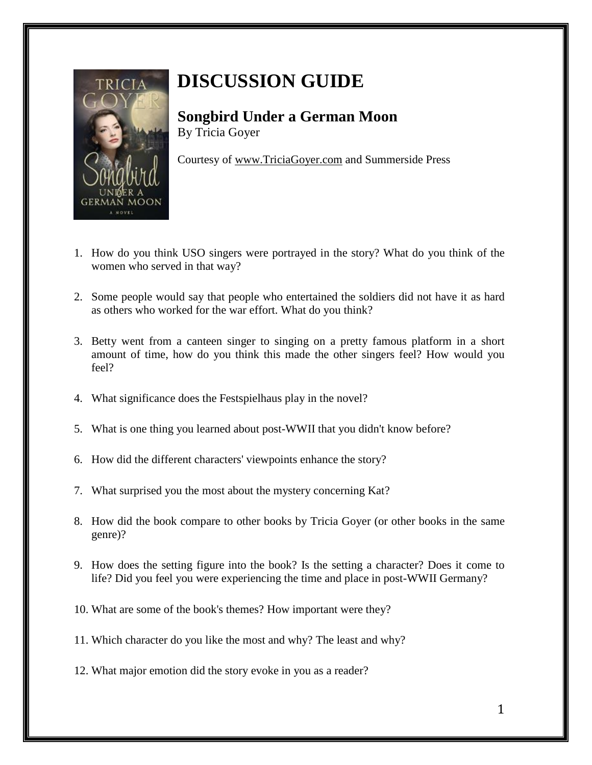

## **DISCUSSION GUIDE**

**Songbird Under a German Moon** By Tricia Goyer

Courtesy of [www.TriciaGoyer.com](http://www.triciagoyer.com/) and Summerside Press

- 1. How do you think USO singers were portrayed in the story? What do you think of the women who served in that way?
- 2. Some people would say that people who entertained the soldiers did not have it as hard as others who worked for the war effort. What do you think?
- 3. Betty went from a canteen singer to singing on a pretty famous platform in a short amount of time, how do you think this made the other singers feel? How would you feel?
- 4. What significance does the Festspielhaus play in the novel?
- 5. What is one thing you learned about post-WWII that you didn't know before?
- 6. How did the different characters' viewpoints enhance the story?
- 7. What surprised you the most about the mystery concerning Kat?
- 8. How did the book compare to other books by Tricia Goyer (or other books in the same genre)?
- 9. How does the setting figure into the book? Is the setting a character? Does it come to life? Did you feel you were experiencing the time and place in post-WWII Germany?
- 10. What are some of the book's themes? How important were they?
- 11. Which character do you like the most and why? The least and why?
- 12. What major emotion did the story evoke in you as a reader?